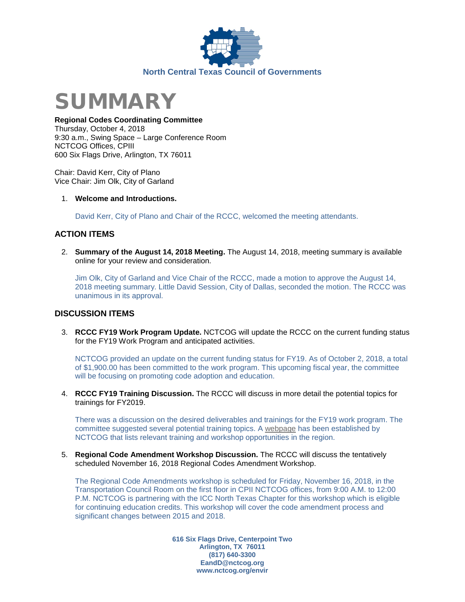



#### **Regional Codes Coordinating Committee**

Thursday, October 4, 2018 9:30 a.m., Swing Space – Large Conference Room NCTCOG Offices, CPIII 600 Six Flags Drive, Arlington, TX 76011

Chair: David Kerr, City of Plano Vice Chair: Jim Olk, City of Garland

#### 1. **Welcome and Introductions.**

David Kerr, City of Plano and Chair of the RCCC, welcomed the meeting attendants.

#### **ACTION ITEMS**

2. **Summary of the August 14, 2018 Meeting.** The August 14, 2018, meeting summary is available online for your review and consideration.

Jim Olk, City of Garland and Vice Chair of the RCCC, made a motion to approve the August 14, 2018 meeting summary. Little David Session, City of Dallas, seconded the motion. The RCCC was unanimous in its approval.

#### **DISCUSSION ITEMS**

3. **RCCC FY19 Work Program Update.** NCTCOG will update the RCCC on the current funding status for the FY19 Work Program and anticipated activities.

NCTCOG provided an update on the current funding status for FY19. As of October 2, 2018, a total of \$1,900.00 has been committed to the work program. This upcoming fiscal year, the committee will be focusing on promoting code adoption and education.

4. **RCCC FY19 Training Discussion.** The RCCC will discuss in more detail the potential topics for trainings for FY2019.

There was a discussion on the desired deliverables and trainings for the FY19 work program. The committee suggested several potential training topics. A [webpage](https://www.nctcog.org/envir/regional-building-codes/training) has been established by NCTCOG that lists relevant training and workshop opportunities in the region.

5. **Regional Code Amendment Workshop Discussion.** The RCCC will discuss the tentatively scheduled November 16, 2018 Regional Codes Amendment Workshop.

The Regional Code Amendments workshop is scheduled for Friday, November 16, 2018, in the Transportation Council Room on the first floor in CPII NCTCOG offices, from 9:00 A.M. to 12:00 P.M. NCTCOG is partnering with the ICC North Texas Chapter for this workshop which is eligible for continuing education credits. This workshop will cover the code amendment process and significant changes between 2015 and 2018.

> **616 Six Flags Drive, Centerpoint Two Arlington, TX 76011 (817) 640-3300 EandD@nctcog.org www.nctcog.org/envir**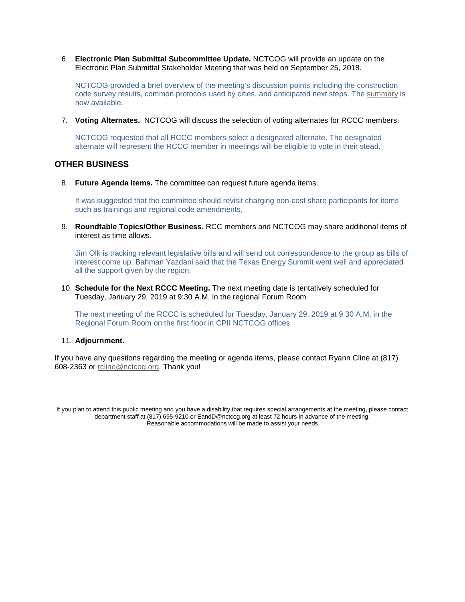6. **Electronic Plan Submittal Subcommittee Update.** NCTCOG will provide an update on the Electronic Plan Submittal Stakeholder Meeting that was held on September 25, 2018.

NCTCOG provided a brief overview of the meeting's discussion points including the construction code survey results, common protocols used by cities, and anticipated next steps. The [summary](https://nctcog.org/nctcg/media/Environment-and-Development/Email%20Attachments/Stakeholder-Meeting-Summary-Notes.pdf) is now available.

7. **Voting Alternates.** NCTCOG will discuss the selection of voting alternates for RCCC members.

NCTCOG requested that all RCCC members select a designated alternate. The designated alternate will represent the RCCC member in meetings will be eligible to vote in their stead.

#### **OTHER BUSINESS**

8. **Future Agenda Items.** The committee can request future agenda items.

It was suggested that the committee should revisit charging non-cost share participants for items such as trainings and regional code amendments.

9. **Roundtable Topics/Other Business.** RCC members and NCTCOG may share additional items of interest as time allows.

Jim Olk is tracking relevant legislative bills and will send out correspondence to the group as bills of interest come up. Bahman Yazdani said that the Texas Energy Summit went well and appreciated all the support given by the region.

10. **Schedule for the Next RCCC Meeting.** The next meeting date is tentatively scheduled for Tuesday, January 29, 2019 at 9:30 A.M. in the regional Forum Room

The next meeting of the RCCC is scheduled for Tuesday, January 29, 2019 at 9:30 A.M. in the Regional Forum Room on the first floor in CPII NCTCOG offices.

#### 11. **Adjournment.**

If you have any questions regarding the meeting or agenda items, please contact Ryann Cline at (817) 608-2363 or [rcline@nctcog.org.](mailto:rcline@nctcog.org) Thank you!

If you plan to attend this public meeting and you have a disability that requires special arrangements at the meeting, please contact department staff at (817) 695-9210 or EandD@nctcog.org at least 72 hours in advance of the meeting. Reasonable accommodations will be made to assist your needs.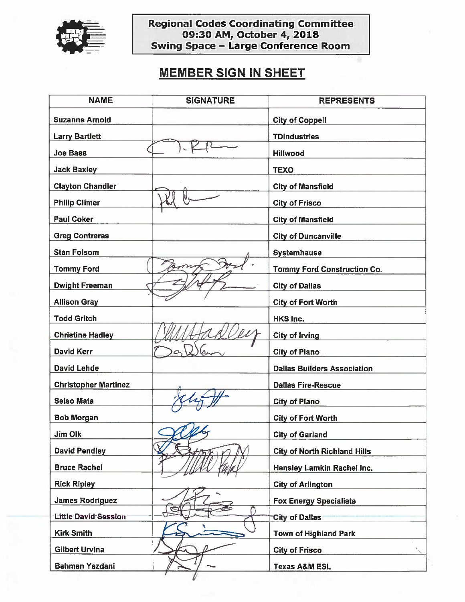

# Regional Codes Coordinating Committee<br>09:30 AM, October 4, 2018<br>Swing Space - Large Conference Room

### **MEMBER SIGN IN SHEET**

| <b>NAME</b>                 | <b>SIGNATURE</b> | <b>REPRESENTS</b>                   |
|-----------------------------|------------------|-------------------------------------|
| <b>Suzanne Arnold</b>       |                  | <b>City of Coppell</b>              |
| <b>Larry Bartlett</b>       |                  | <b>TDIndustries</b>                 |
| <b>Joe Bass</b>             |                  | <b>Hillwood</b>                     |
| <b>Jack Baxley</b>          |                  | <b>TEXO</b>                         |
| <b>Clayton Chandler</b>     |                  | <b>City of Mansfield</b>            |
| <b>Philip Climer</b>        |                  | <b>City of Frisco</b>               |
| <b>Paul Coker</b>           |                  | <b>City of Mansfield</b>            |
| <b>Greg Contreras</b>       |                  | <b>City of Duncanville</b>          |
| <b>Stan Folsom</b>          |                  | <b>Systemhause</b>                  |
| <b>Tommy Ford</b>           |                  | <b>Tommy Ford Construction Co.</b>  |
| <b>Dwight Freeman</b>       |                  | <b>City of Dallas</b>               |
| <b>Allison Gray</b>         |                  | <b>City of Fort Worth</b>           |
| <b>Todd Gritch</b>          |                  | <b>HKS Inc.</b>                     |
| <b>Christine Hadley</b>     |                  | <b>City of Irving</b>               |
| <b>David Kerr</b>           |                  | <b>City of Plano</b>                |
| <b>David Lehde</b>          |                  | <b>Dallas Builders Association</b>  |
| <b>Christopher Martinez</b> |                  | <b>Dallas Fire-Rescue</b>           |
| <b>Selso Mata</b>           |                  | <b>City of Plano</b>                |
| <b>Bob Morgan</b>           |                  | <b>City of Fort Worth</b>           |
| Jim Olk                     |                  | <b>City of Garland</b>              |
| <b>David Pendley</b>        |                  | <b>City of North Richland Hills</b> |
| <b>Bruce Rachel</b>         |                  | Hensley Lamkin Rachel Inc.          |
| <b>Rick Ripley</b>          |                  | <b>City of Arlington</b>            |
| <b>James Rodriguez</b>      |                  | <b>Fox Energy Specialists</b>       |
| Little David Session        |                  | <b>City of Dallas</b>               |
| <b>Kirk Smith</b>           |                  | <b>Town of Highland Park</b>        |
| <b>Gilbert Urvina</b>       |                  | <b>City of Frisco</b>               |
| <b>Bahman Yazdani</b>       |                  | <b>Texas A&amp;M ESL</b>            |